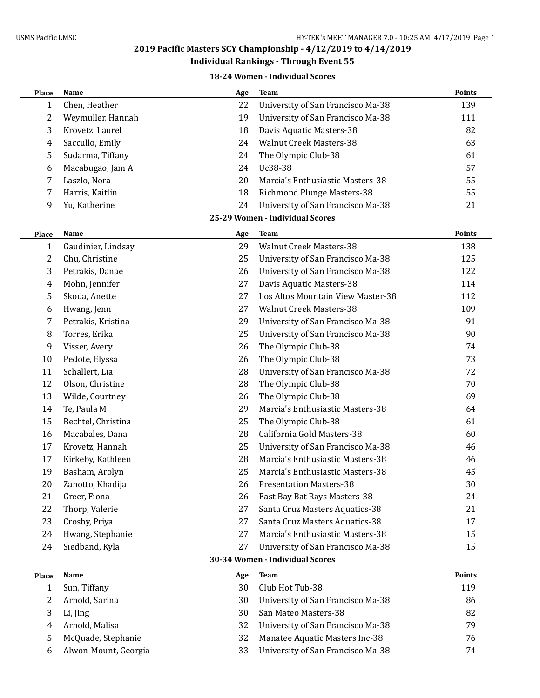## **2019 Pacific Masters SCY Championship - 4/12/2019 to 4/14/2019 Individual Rankings - Through Event 55**

#### **18-24 Women - Individual Scores**

| Place                           | Name                 | Age | <b>Team</b>                       | <b>Points</b> |  |
|---------------------------------|----------------------|-----|-----------------------------------|---------------|--|
| 1                               | Chen, Heather        | 22  | University of San Francisco Ma-38 | 139           |  |
| 2                               | Weymuller, Hannah    | 19  | University of San Francisco Ma-38 | 111           |  |
| 3                               | Krovetz, Laurel      | 18  | Davis Aquatic Masters-38          | 82            |  |
| 4                               | Saccullo, Emily      | 24  | <b>Walnut Creek Masters-38</b>    | 63            |  |
| 5                               | Sudarma, Tiffany     | 24  | The Olympic Club-38               | 61            |  |
| 6                               | Macabugao, Jam A     | 24  | Uc38-38                           | 57            |  |
| 7                               | Laszlo, Nora         | 20  | Marcia's Enthusiastic Masters-38  | 55            |  |
| 7                               | Harris, Kaitlin      | 18  | Richmond Plunge Masters-38        | 55            |  |
| 9                               | Yu, Katherine        | 24  | University of San Francisco Ma-38 | 21            |  |
|                                 |                      |     | 25-29 Women - Individual Scores   |               |  |
| Place                           | Name                 | Age | <b>Team</b>                       | Points        |  |
| 1                               | Gaudinier, Lindsay   | 29  | <b>Walnut Creek Masters-38</b>    | 138           |  |
| 2                               | Chu, Christine       | 25  | University of San Francisco Ma-38 | 125           |  |
| 3                               | Petrakis, Danae      | 26  | University of San Francisco Ma-38 | 122           |  |
| 4                               | Mohn, Jennifer       | 27  | Davis Aquatic Masters-38          | 114           |  |
| 5                               | Skoda, Anette        | 27  | Los Altos Mountain View Master-38 | 112           |  |
| 6                               | Hwang, Jenn          | 27  | <b>Walnut Creek Masters-38</b>    | 109           |  |
| 7                               | Petrakis, Kristina   | 29  | University of San Francisco Ma-38 | 91            |  |
| 8                               | Torres, Erika        | 25  | University of San Francisco Ma-38 | 90            |  |
| 9                               | Visser, Avery        | 26  | The Olympic Club-38               | 74            |  |
| 10                              | Pedote, Elyssa       | 26  | The Olympic Club-38               | 73            |  |
| 11                              | Schallert, Lia       | 28  | University of San Francisco Ma-38 | 72            |  |
| 12                              | Olson, Christine     | 28  | The Olympic Club-38               | 70            |  |
| 13                              | Wilde, Courtney      | 26  | The Olympic Club-38               | 69            |  |
| 14                              | Te, Paula M          | 29  | Marcia's Enthusiastic Masters-38  | 64            |  |
| 15                              | Bechtel, Christina   | 25  | The Olympic Club-38               | 61            |  |
| 16                              | Macabales, Dana      | 28  | California Gold Masters-38        | 60            |  |
| 17                              | Krovetz, Hannah      | 25  | University of San Francisco Ma-38 | 46            |  |
| 17                              | Kirkeby, Kathleen    | 28  | Marcia's Enthusiastic Masters-38  | 46            |  |
| 19                              | Basham, Arolyn       | 25  | Marcia's Enthusiastic Masters-38  | 45            |  |
| 20                              | Zanotto, Khadija     | 26  | <b>Presentation Masters-38</b>    | 30            |  |
| 21                              | Greer, Fiona         | 26  | East Bay Bat Rays Masters-38      | 24            |  |
| 22                              | Thorp, Valerie       | 27  | Santa Cruz Masters Aquatics-38    | 21            |  |
| 23                              | Crosby, Priya        | 27  | Santa Cruz Masters Aquatics-38    | 17            |  |
| 24                              | Hwang, Stephanie     | 27  | Marcia's Enthusiastic Masters-38  | 15            |  |
| 24                              | Siedband, Kyla       | 27  | University of San Francisco Ma-38 | 15            |  |
| 30-34 Women - Individual Scores |                      |     |                                   |               |  |
| Place                           | Name                 | Age | <b>Team</b>                       | Points        |  |
| 1                               | Sun, Tiffany         | 30  | Club Hot Tub-38                   | 119           |  |
| 2                               | Arnold, Sarina       | 30  | University of San Francisco Ma-38 | 86            |  |
| 3                               | Li, Jing             | 30  | San Mateo Masters-38              | 82            |  |
| 4                               | Arnold, Malisa       | 32  | University of San Francisco Ma-38 | 79            |  |
| 5                               | McQuade, Stephanie   | 32  | Manatee Aquatic Masters Inc-38    | 76            |  |
| 6                               | Alwon-Mount, Georgia | 33  | University of San Francisco Ma-38 | 74            |  |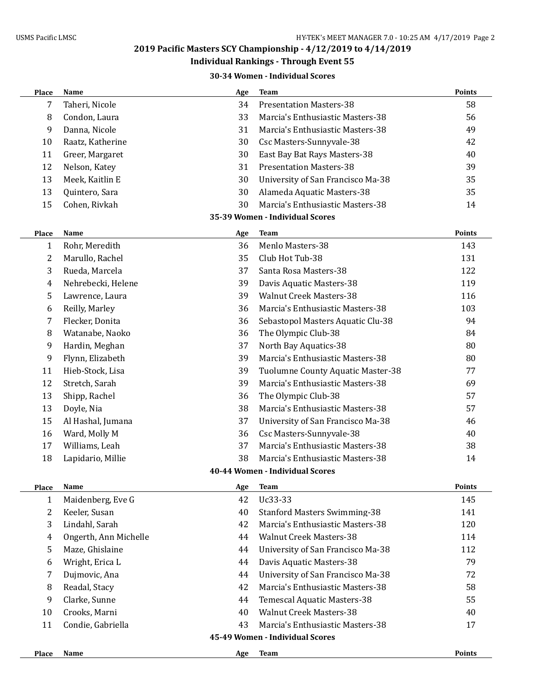## **Individual Rankings - Through Event 55**

### **30-34 Women - Individual Scores**

| Taheri, Nicole<br><b>Presentation Masters-38</b><br>58<br>7<br>34<br>33<br>Marcia's Enthusiastic Masters-38<br>56<br>8<br>Condon, Laura<br>9<br>Danna, Nicole<br>31<br>Marcia's Enthusiastic Masters-38<br>49<br>30<br>Csc Masters-Sunnyvale-38<br>10<br>Raatz, Katherine<br>42<br>30<br>11<br>Greer, Margaret<br>East Bay Bat Rays Masters-38<br>40<br>12<br>31<br><b>Presentation Masters-38</b><br>39<br>Nelson, Katey<br>13<br>Meek, Kaitlin E<br>30<br>University of San Francisco Ma-38<br>35<br>13<br>Quintero, Sara<br>30<br>35<br>Alameda Aquatic Masters-38<br>Marcia's Enthusiastic Masters-38<br>Cohen, Rivkah<br>30<br>15<br>14<br>35-39 Women - Individual Scores<br><b>Points</b><br>Name<br><b>Team</b><br>Age<br>Place<br>36<br>Menlo Masters-38<br>$\mathbf{1}$<br>Rohr, Meredith<br>143<br>Club Hot Tub-38<br>2<br>Marullo, Rachel<br>35<br>131<br>3<br>Rueda, Marcela<br>37<br>Santa Rosa Masters-38<br>122<br>Nehrebecki, Helene<br>39<br>119<br>Davis Aquatic Masters-38<br>4<br>Lawrence, Laura<br>39<br><b>Walnut Creek Masters-38</b><br>5<br>116 |  |  |  |  |  |
|----------------------------------------------------------------------------------------------------------------------------------------------------------------------------------------------------------------------------------------------------------------------------------------------------------------------------------------------------------------------------------------------------------------------------------------------------------------------------------------------------------------------------------------------------------------------------------------------------------------------------------------------------------------------------------------------------------------------------------------------------------------------------------------------------------------------------------------------------------------------------------------------------------------------------------------------------------------------------------------------------------------------------------------------------------------------------|--|--|--|--|--|
|                                                                                                                                                                                                                                                                                                                                                                                                                                                                                                                                                                                                                                                                                                                                                                                                                                                                                                                                                                                                                                                                            |  |  |  |  |  |
|                                                                                                                                                                                                                                                                                                                                                                                                                                                                                                                                                                                                                                                                                                                                                                                                                                                                                                                                                                                                                                                                            |  |  |  |  |  |
|                                                                                                                                                                                                                                                                                                                                                                                                                                                                                                                                                                                                                                                                                                                                                                                                                                                                                                                                                                                                                                                                            |  |  |  |  |  |
|                                                                                                                                                                                                                                                                                                                                                                                                                                                                                                                                                                                                                                                                                                                                                                                                                                                                                                                                                                                                                                                                            |  |  |  |  |  |
|                                                                                                                                                                                                                                                                                                                                                                                                                                                                                                                                                                                                                                                                                                                                                                                                                                                                                                                                                                                                                                                                            |  |  |  |  |  |
|                                                                                                                                                                                                                                                                                                                                                                                                                                                                                                                                                                                                                                                                                                                                                                                                                                                                                                                                                                                                                                                                            |  |  |  |  |  |
|                                                                                                                                                                                                                                                                                                                                                                                                                                                                                                                                                                                                                                                                                                                                                                                                                                                                                                                                                                                                                                                                            |  |  |  |  |  |
|                                                                                                                                                                                                                                                                                                                                                                                                                                                                                                                                                                                                                                                                                                                                                                                                                                                                                                                                                                                                                                                                            |  |  |  |  |  |
|                                                                                                                                                                                                                                                                                                                                                                                                                                                                                                                                                                                                                                                                                                                                                                                                                                                                                                                                                                                                                                                                            |  |  |  |  |  |
|                                                                                                                                                                                                                                                                                                                                                                                                                                                                                                                                                                                                                                                                                                                                                                                                                                                                                                                                                                                                                                                                            |  |  |  |  |  |
|                                                                                                                                                                                                                                                                                                                                                                                                                                                                                                                                                                                                                                                                                                                                                                                                                                                                                                                                                                                                                                                                            |  |  |  |  |  |
|                                                                                                                                                                                                                                                                                                                                                                                                                                                                                                                                                                                                                                                                                                                                                                                                                                                                                                                                                                                                                                                                            |  |  |  |  |  |
|                                                                                                                                                                                                                                                                                                                                                                                                                                                                                                                                                                                                                                                                                                                                                                                                                                                                                                                                                                                                                                                                            |  |  |  |  |  |
|                                                                                                                                                                                                                                                                                                                                                                                                                                                                                                                                                                                                                                                                                                                                                                                                                                                                                                                                                                                                                                                                            |  |  |  |  |  |
|                                                                                                                                                                                                                                                                                                                                                                                                                                                                                                                                                                                                                                                                                                                                                                                                                                                                                                                                                                                                                                                                            |  |  |  |  |  |
|                                                                                                                                                                                                                                                                                                                                                                                                                                                                                                                                                                                                                                                                                                                                                                                                                                                                                                                                                                                                                                                                            |  |  |  |  |  |
| 36<br>Marcia's Enthusiastic Masters-38<br>Reilly, Marley<br>103<br>6                                                                                                                                                                                                                                                                                                                                                                                                                                                                                                                                                                                                                                                                                                                                                                                                                                                                                                                                                                                                       |  |  |  |  |  |
| Flecker, Donita<br>36<br>94<br>7<br>Sebastopol Masters Aquatic Clu-38                                                                                                                                                                                                                                                                                                                                                                                                                                                                                                                                                                                                                                                                                                                                                                                                                                                                                                                                                                                                      |  |  |  |  |  |
| The Olympic Club-38<br>Watanabe, Naoko<br>36<br>8<br>84                                                                                                                                                                                                                                                                                                                                                                                                                                                                                                                                                                                                                                                                                                                                                                                                                                                                                                                                                                                                                    |  |  |  |  |  |
| Hardin, Meghan<br>37<br>North Bay Aquatics-38<br>80<br>9                                                                                                                                                                                                                                                                                                                                                                                                                                                                                                                                                                                                                                                                                                                                                                                                                                                                                                                                                                                                                   |  |  |  |  |  |
| 9<br>Flynn, Elizabeth<br>39<br>Marcia's Enthusiastic Masters-38<br>80                                                                                                                                                                                                                                                                                                                                                                                                                                                                                                                                                                                                                                                                                                                                                                                                                                                                                                                                                                                                      |  |  |  |  |  |
| Hieb-Stock, Lisa<br>39<br>Tuolumne County Aquatic Master-38<br>77<br>11                                                                                                                                                                                                                                                                                                                                                                                                                                                                                                                                                                                                                                                                                                                                                                                                                                                                                                                                                                                                    |  |  |  |  |  |
| 12<br>Stretch, Sarah<br>39<br>Marcia's Enthusiastic Masters-38<br>69                                                                                                                                                                                                                                                                                                                                                                                                                                                                                                                                                                                                                                                                                                                                                                                                                                                                                                                                                                                                       |  |  |  |  |  |
| 13<br>The Olympic Club-38<br>57<br>Shipp, Rachel<br>36                                                                                                                                                                                                                                                                                                                                                                                                                                                                                                                                                                                                                                                                                                                                                                                                                                                                                                                                                                                                                     |  |  |  |  |  |
| 38<br>Marcia's Enthusiastic Masters-38<br>57<br>13<br>Doyle, Nia                                                                                                                                                                                                                                                                                                                                                                                                                                                                                                                                                                                                                                                                                                                                                                                                                                                                                                                                                                                                           |  |  |  |  |  |
| 15<br>Al Hashal, Jumana<br>37<br>University of San Francisco Ma-38<br>46                                                                                                                                                                                                                                                                                                                                                                                                                                                                                                                                                                                                                                                                                                                                                                                                                                                                                                                                                                                                   |  |  |  |  |  |
| Ward, Molly M<br>36<br>Csc Masters-Sunnyvale-38<br>16<br>40                                                                                                                                                                                                                                                                                                                                                                                                                                                                                                                                                                                                                                                                                                                                                                                                                                                                                                                                                                                                                |  |  |  |  |  |
| 17<br>Williams, Leah<br>37<br>Marcia's Enthusiastic Masters-38<br>38                                                                                                                                                                                                                                                                                                                                                                                                                                                                                                                                                                                                                                                                                                                                                                                                                                                                                                                                                                                                       |  |  |  |  |  |
| 38<br>Marcia's Enthusiastic Masters-38<br>18<br>Lapidario, Millie<br>14                                                                                                                                                                                                                                                                                                                                                                                                                                                                                                                                                                                                                                                                                                                                                                                                                                                                                                                                                                                                    |  |  |  |  |  |
| 40-44 Women - Individual Scores                                                                                                                                                                                                                                                                                                                                                                                                                                                                                                                                                                                                                                                                                                                                                                                                                                                                                                                                                                                                                                            |  |  |  |  |  |
| <b>Team</b><br>Points<br>Place<br>Name<br>Age                                                                                                                                                                                                                                                                                                                                                                                                                                                                                                                                                                                                                                                                                                                                                                                                                                                                                                                                                                                                                              |  |  |  |  |  |
| 42<br>Uc33-33<br>Maidenberg, Eve G<br>145<br>1                                                                                                                                                                                                                                                                                                                                                                                                                                                                                                                                                                                                                                                                                                                                                                                                                                                                                                                                                                                                                             |  |  |  |  |  |
| 2<br>Keeler, Susan<br>40<br><b>Stanford Masters Swimming-38</b><br>141                                                                                                                                                                                                                                                                                                                                                                                                                                                                                                                                                                                                                                                                                                                                                                                                                                                                                                                                                                                                     |  |  |  |  |  |
| 3<br>Lindahl, Sarah<br>42<br>Marcia's Enthusiastic Masters-38<br>120                                                                                                                                                                                                                                                                                                                                                                                                                                                                                                                                                                                                                                                                                                                                                                                                                                                                                                                                                                                                       |  |  |  |  |  |
| Ongerth, Ann Michelle<br><b>Walnut Creek Masters-38</b><br>44<br>114<br>4                                                                                                                                                                                                                                                                                                                                                                                                                                                                                                                                                                                                                                                                                                                                                                                                                                                                                                                                                                                                  |  |  |  |  |  |
| Maze, Ghislaine<br>University of San Francisco Ma-38<br>5<br>44<br>112                                                                                                                                                                                                                                                                                                                                                                                                                                                                                                                                                                                                                                                                                                                                                                                                                                                                                                                                                                                                     |  |  |  |  |  |
| 44<br>Davis Aquatic Masters-38<br>Wright, Erica L<br>79<br>6                                                                                                                                                                                                                                                                                                                                                                                                                                                                                                                                                                                                                                                                                                                                                                                                                                                                                                                                                                                                               |  |  |  |  |  |
| University of San Francisco Ma-38<br>Dujmovic, Ana<br>44<br>72<br>7                                                                                                                                                                                                                                                                                                                                                                                                                                                                                                                                                                                                                                                                                                                                                                                                                                                                                                                                                                                                        |  |  |  |  |  |
| Readal, Stacy<br>42<br>Marcia's Enthusiastic Masters-38<br>58<br>8                                                                                                                                                                                                                                                                                                                                                                                                                                                                                                                                                                                                                                                                                                                                                                                                                                                                                                                                                                                                         |  |  |  |  |  |
| 9<br>Clarke, Sunne<br>Temescal Aquatic Masters-38<br>44<br>55                                                                                                                                                                                                                                                                                                                                                                                                                                                                                                                                                                                                                                                                                                                                                                                                                                                                                                                                                                                                              |  |  |  |  |  |
| <b>Walnut Creek Masters-38</b><br>Crooks, Marni<br>10<br>40<br>40                                                                                                                                                                                                                                                                                                                                                                                                                                                                                                                                                                                                                                                                                                                                                                                                                                                                                                                                                                                                          |  |  |  |  |  |
| 11<br>Condie, Gabriella<br>Marcia's Enthusiastic Masters-38<br>43<br>17                                                                                                                                                                                                                                                                                                                                                                                                                                                                                                                                                                                                                                                                                                                                                                                                                                                                                                                                                                                                    |  |  |  |  |  |
| 45-49 Women - Individual Scores                                                                                                                                                                                                                                                                                                                                                                                                                                                                                                                                                                                                                                                                                                                                                                                                                                                                                                                                                                                                                                            |  |  |  |  |  |
| <b>Points</b><br>Name<br><b>Team</b><br>Place<br>Age                                                                                                                                                                                                                                                                                                                                                                                                                                                                                                                                                                                                                                                                                                                                                                                                                                                                                                                                                                                                                       |  |  |  |  |  |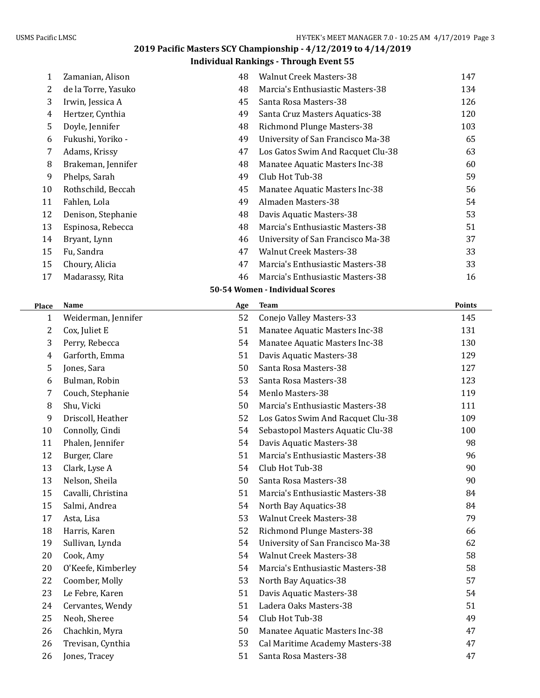## **Individual Rankings - Through Event 55**

| 1            | Zamanian, Alison    | 48  | <b>Walnut Creek Masters-38</b>    | 147           |
|--------------|---------------------|-----|-----------------------------------|---------------|
| 2            | de la Torre, Yasuko | 48  | Marcia's Enthusiastic Masters-38  | 134           |
| 3            | Irwin, Jessica A    | 45  | Santa Rosa Masters-38             | 126           |
| 4            | Hertzer, Cynthia    | 49  | Santa Cruz Masters Aquatics-38    | 120           |
| 5            | Doyle, Jennifer     | 48  | <b>Richmond Plunge Masters-38</b> | 103           |
| 6            | Fukushi, Yoriko -   | 49  | University of San Francisco Ma-38 | 65            |
| 7            | Adams, Krissy       | 47  | Los Gatos Swim And Racquet Clu-38 | 63            |
| 8            | Brakeman, Jennifer  | 48  | Manatee Aquatic Masters Inc-38    | 60            |
| 9            | Phelps, Sarah       | 49  | Club Hot Tub-38                   | 59            |
| 10           | Rothschild, Beccah  | 45  | Manatee Aquatic Masters Inc-38    | 56            |
| 11           | Fahlen, Lola        | 49  | Almaden Masters-38                | 54            |
| 12           | Denison, Stephanie  | 48  | Davis Aquatic Masters-38          | 53            |
| 13           | Espinosa, Rebecca   | 48  | Marcia's Enthusiastic Masters-38  | 51            |
| 14           | Bryant, Lynn        | 46  | University of San Francisco Ma-38 | 37            |
| 15           | Fu, Sandra          | 47  | <b>Walnut Creek Masters-38</b>    | 33            |
| 15           | Choury, Alicia      | 47  | Marcia's Enthusiastic Masters-38  | 33            |
| 17           | Madarassy, Rita     | 46  | Marcia's Enthusiastic Masters-38  | 16            |
|              |                     |     | 50-54 Women - Individual Scores   |               |
| Place        | <b>Name</b>         | Age | <b>Team</b>                       | <b>Points</b> |
| $\mathbf{1}$ | Weiderman, Jennifer | 52  | Conejo Valley Masters-33          | 145           |
| 2            | Cox, Juliet E       | 51  | Manatee Aquatic Masters Inc-38    | 131           |
| 3            | Perry, Rebecca      | 54  | Manatee Aquatic Masters Inc-38    | 130           |
| 4            | Garforth, Emma      | 51  | Davis Aquatic Masters-38          | 129           |
| 5            | Jones, Sara         | 50  | Santa Rosa Masters-38             | 127           |
| 6            | Bulman, Robin       | 53  | Santa Rosa Masters-38             | 123           |
| 7            | Couch, Stephanie    | 54  | Menlo Masters-38                  | 119           |

| <b>Place</b> | Name                | Age | ream                              | POINTS |
|--------------|---------------------|-----|-----------------------------------|--------|
| 1            | Weiderman, Jennifer | 52  | Conejo Valley Masters-33          | 145    |
| 2            | Cox, Juliet E       | 51  | Manatee Aquatic Masters Inc-38    | 131    |
| 3            | Perry, Rebecca      | 54  | Manatee Aquatic Masters Inc-38    | 130    |
| 4            | Garforth, Emma      | 51  | Davis Aquatic Masters-38          | 129    |
| 5            | Jones, Sara         | 50  | Santa Rosa Masters-38             | 127    |
| 6            | Bulman, Robin       | 53  | Santa Rosa Masters-38             | 123    |
| 7            | Couch, Stephanie    | 54  | Menlo Masters-38                  | 119    |
| 8            | Shu, Vicki          | 50  | Marcia's Enthusiastic Masters-38  | 111    |
| 9            | Driscoll, Heather   | 52  | Los Gatos Swim And Racquet Clu-38 | 109    |
| 10           | Connolly, Cindi     | 54  | Sebastopol Masters Aquatic Clu-38 | 100    |
| 11           | Phalen, Jennifer    | 54  | Davis Aquatic Masters-38          | 98     |
| 12           | Burger, Clare       | 51  | Marcia's Enthusiastic Masters-38  | 96     |
| 13           | Clark, Lyse A       | 54  | Club Hot Tub-38                   | 90     |
| 13           | Nelson, Sheila      | 50  | Santa Rosa Masters-38             | 90     |
| 15           | Cavalli, Christina  | 51  | Marcia's Enthusiastic Masters-38  | 84     |
| 15           | Salmi, Andrea       | 54  | North Bay Aquatics-38             | 84     |
| 17           | Asta, Lisa          | 53  | <b>Walnut Creek Masters-38</b>    | 79     |
| 18           | Harris, Karen       | 52  | Richmond Plunge Masters-38        | 66     |
| 19           | Sullivan, Lynda     | 54  | University of San Francisco Ma-38 | 62     |
| 20           | Cook, Amy           | 54  | <b>Walnut Creek Masters-38</b>    | 58     |
| 20           | O'Keefe, Kimberley  | 54  | Marcia's Enthusiastic Masters-38  | 58     |
| 22           | Coomber, Molly      | 53  | North Bay Aquatics-38             | 57     |
| 23           | Le Febre, Karen     | 51  | Davis Aquatic Masters-38          | 54     |
| 24           | Cervantes, Wendy    | 51  | Ladera Oaks Masters-38            | 51     |
| 25           | Neoh, Sheree        | 54  | Club Hot Tub-38                   | 49     |
| 26           | Chachkin, Myra      | 50  | Manatee Aquatic Masters Inc-38    | 47     |
| 26           | Trevisan, Cynthia   | 53  | Cal Maritime Academy Masters-38   | 47     |
| 26           | Jones, Tracey       | 51  | Santa Rosa Masters-38             | 47     |
|              |                     |     |                                   |        |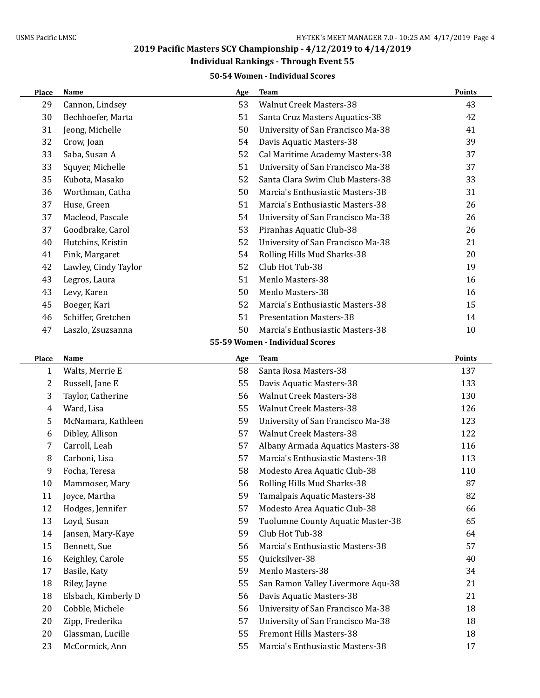## **Individual Rankings - Through Event 55**

### **50-54 Women - Individual Scores**

| <b>Place</b> | Name                 | Age | <b>Team</b>                       | Points |
|--------------|----------------------|-----|-----------------------------------|--------|
| 29           | Cannon, Lindsey      | 53  | <b>Walnut Creek Masters-38</b>    | 43     |
| 30           | Bechhoefer, Marta    | 51  | Santa Cruz Masters Aquatics-38    | 42     |
| 31           | Jeong, Michelle      | 50  | University of San Francisco Ma-38 | 41     |
| 32           | Crow, Joan           | 54  | Davis Aquatic Masters-38          | 39     |
| 33           | Saba, Susan A        | 52  | Cal Maritime Academy Masters-38   | 37     |
| 33           | Squyer, Michelle     | 51  | University of San Francisco Ma-38 | 37     |
| 35           | Kubota, Masako       | 52  | Santa Clara Swim Club Masters-38  | 33     |
| 36           | Worthman, Catha      | 50  | Marcia's Enthusiastic Masters-38  | 31     |
| 37           | Huse, Green          | 51  | Marcia's Enthusiastic Masters-38  | 26     |
| 37           | Macleod, Pascale     | 54  | University of San Francisco Ma-38 | 26     |
| 37           | Goodbrake, Carol     | 53  | Piranhas Aquatic Club-38          | 26     |
| 40           | Hutchins, Kristin    | 52  | University of San Francisco Ma-38 | 21     |
| 41           | Fink, Margaret       | 54  | Rolling Hills Mud Sharks-38       | 20     |
| 42           | Lawley, Cindy Taylor | 52  | Club Hot Tub-38                   | 19     |
| 43           | Legros, Laura        | 51  | Menlo Masters-38                  | 16     |
| 43           | Levy, Karen          | 50  | Menlo Masters-38                  | 16     |
| 45           | Boeger, Kari         | 52  | Marcia's Enthusiastic Masters-38  | 15     |
| 46           | Schiffer, Gretchen   | 51  | <b>Presentation Masters-38</b>    | 14     |
| 47           | Laszlo, Zsuzsanna    | 50  | Marcia's Enthusiastic Masters-38  | 10     |
|              |                      |     | 55-59 Women - Individual Scores   |        |
| Place        | Name                 | Age | <b>Team</b>                       | Points |
| $\mathbf{1}$ | Walts, Merrie E      | 58  | Santa Rosa Masters-38             | 137    |
| 2            | Russell, Jane E      | 55  | Davis Aquatic Masters-38          | 133    |
| 3            | Taylor, Catherine    | 56  | <b>Walnut Creek Masters-38</b>    | 130    |
| 4            | Ward, Lisa           | 55  | <b>Walnut Creek Masters-38</b>    | 126    |
| 5            | McNamara, Kathleen   | 59  | University of San Francisco Ma-38 | 123    |
| 6            | Dibley, Allison      | 57  | <b>Walnut Creek Masters-38</b>    | 122    |
| 7            | Carroll, Leah        | 57  | Albany Armada Aquatics Masters-38 | 116    |
| 8            | Carboni, Lisa        | 57  | Marcia's Enthusiastic Masters-38  | 113    |
| 9            | Focha, Teresa        | 58  | Modesto Area Aquatic Club-38      | 110    |
| 10           | Mammoser, Mary       | 56  | Rolling Hills Mud Sharks-38       | 87     |
| 11           | Joyce, Martha        | 59  | Tamalpais Aquatic Masters-38      | 82     |
| 12           | Hodges, Jennifer     | 57  | Modesto Area Aquatic Club-38      | 66     |
| 13           | Loyd, Susan          | 59  | Tuolumne County Aquatic Master-38 | 65     |
| 14           | Jansen, Mary-Kaye    | 59  | Club Hot Tub-38                   | 64     |
| 15           | Bennett, Sue         | 56  | Marcia's Enthusiastic Masters-38  | 57     |
| 16           | Keighley, Carole     | 55  | Quicksilver-38                    | 40     |
| 17           | Basile, Katy         | 59  | Menlo Masters-38                  | 34     |
| 18           | Riley, Jayne         | 55  | San Ramon Valley Livermore Aqu-38 | 21     |
| 18           | Elsbach, Kimberly D  | 56  | Davis Aquatic Masters-38          | 21     |
| 20           | Cobble, Michele      | 56  | University of San Francisco Ma-38 | 18     |
| 20           | Zipp, Frederika      | 57  | University of San Francisco Ma-38 | 18     |
| 20           | Glassman, Lucille    | 55  | Fremont Hills Masters-38          | 18     |
| 23           | McCormick, Ann       | 55  | Marcia's Enthusiastic Masters-38  | 17     |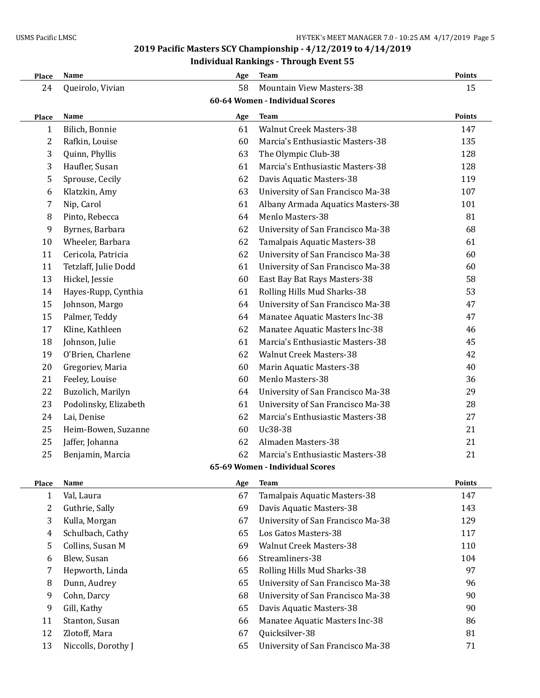## **Individual Rankings - Through Event 55**

| Place                           | Name                  | Age | <b>Team</b>                       | <b>Points</b> |  |  |
|---------------------------------|-----------------------|-----|-----------------------------------|---------------|--|--|
| 24                              | Queirolo, Vivian      | 58  | <b>Mountain View Masters-38</b>   | 15            |  |  |
| 60-64 Women - Individual Scores |                       |     |                                   |               |  |  |
| Place                           | Name                  | Age | <b>Team</b>                       | <b>Points</b> |  |  |
| 1                               | Bilich, Bonnie        | 61  | <b>Walnut Creek Masters-38</b>    | 147           |  |  |
| 2                               | Rafkin, Louise        | 60  | Marcia's Enthusiastic Masters-38  | 135           |  |  |
| 3                               | Quinn, Phyllis        | 63  | The Olympic Club-38               | 128           |  |  |
| 3                               | Haufler, Susan        | 61  | Marcia's Enthusiastic Masters-38  | 128           |  |  |
| 5                               | Sprouse, Cecily       | 62  | Davis Aquatic Masters-38          | 119           |  |  |
| 6                               | Klatzkin, Amy         | 63  | University of San Francisco Ma-38 | 107           |  |  |
| 7                               | Nip, Carol            | 61  | Albany Armada Aquatics Masters-38 | 101           |  |  |
| 8                               | Pinto, Rebecca        | 64  | Menlo Masters-38                  | 81            |  |  |
| 9                               | Byrnes, Barbara       | 62  | University of San Francisco Ma-38 | 68            |  |  |
| 10                              | Wheeler, Barbara      | 62  | Tamalpais Aquatic Masters-38      | 61            |  |  |
| 11                              | Cericola, Patricia    | 62  | University of San Francisco Ma-38 | 60            |  |  |
| 11                              | Tetzlaff, Julie Dodd  | 61  | University of San Francisco Ma-38 | 60            |  |  |
| 13                              | Hickel, Jessie        | 60  | East Bay Bat Rays Masters-38      | 58            |  |  |
| 14                              | Hayes-Rupp, Cynthia   | 61  | Rolling Hills Mud Sharks-38       | 53            |  |  |
| 15                              | Johnson, Margo        | 64  | University of San Francisco Ma-38 | 47            |  |  |
| 15                              | Palmer, Teddy         | 64  | Manatee Aquatic Masters Inc-38    | 47            |  |  |
| 17                              | Kline, Kathleen       | 62  | Manatee Aquatic Masters Inc-38    | 46            |  |  |
| 18                              | Johnson, Julie        | 61  | Marcia's Enthusiastic Masters-38  | 45            |  |  |
| 19                              | O'Brien, Charlene     | 62  | <b>Walnut Creek Masters-38</b>    | 42            |  |  |
| 20                              | Gregoriev, Maria      | 60  | Marin Aquatic Masters-38          | 40            |  |  |
| 21                              | Feeley, Louise        | 60  | Menlo Masters-38                  | 36            |  |  |
| 22                              | Buzolich, Marilyn     | 64  | University of San Francisco Ma-38 | 29            |  |  |
| 23                              | Podolinsky, Elizabeth | 61  | University of San Francisco Ma-38 | 28            |  |  |
| 24                              | Lai, Denise           | 62  | Marcia's Enthusiastic Masters-38  | 27            |  |  |
| 25                              | Heim-Bowen, Suzanne   | 60  | Uc38-38                           | 21            |  |  |
| 25                              | Jaffer, Johanna       | 62  | Almaden Masters-38                | 21            |  |  |
| 25                              | Benjamin, Marcia      | 62  | Marcia's Enthusiastic Masters-38  | 21            |  |  |
| 65-69 Women - Individual Scores |                       |     |                                   |               |  |  |
| Place                           | Name                  | Age | <b>Team</b>                       | Points        |  |  |
| 1                               | Val, Laura            | 67  | Tamalpais Aquatic Masters-38      | 147           |  |  |
| 2                               | Guthrie, Sally        | 69  | Davis Aquatic Masters-38          | 143           |  |  |
| 3                               | Kulla, Morgan         | 67  | University of San Francisco Ma-38 | 129           |  |  |
| 4                               | Schulbach, Cathy      | 65  | Los Gatos Masters-38              | 117           |  |  |
| 5                               | Collins, Susan M      | 69  | <b>Walnut Creek Masters-38</b>    | 110           |  |  |
| 6                               | Blew, Susan           | 66  | Streamliners-38                   | 104           |  |  |
| 7                               | Hepworth, Linda       | 65  | Rolling Hills Mud Sharks-38       | 97            |  |  |
| 8                               | Dunn, Audrey          | 65  | University of San Francisco Ma-38 | 96            |  |  |
| 9                               | Cohn, Darcy           | 68  | University of San Francisco Ma-38 | 90            |  |  |
| 9                               | Gill, Kathy           | 65  | Davis Aquatic Masters-38          | 90            |  |  |
| 11                              | Stanton, Susan        | 66  | Manatee Aquatic Masters Inc-38    | 86            |  |  |
| 12                              | Zlotoff, Mara         | 67  | Quicksilver-38                    | 81            |  |  |
| 13                              | Niccolls, Dorothy J   | 65  | University of San Francisco Ma-38 | 71            |  |  |